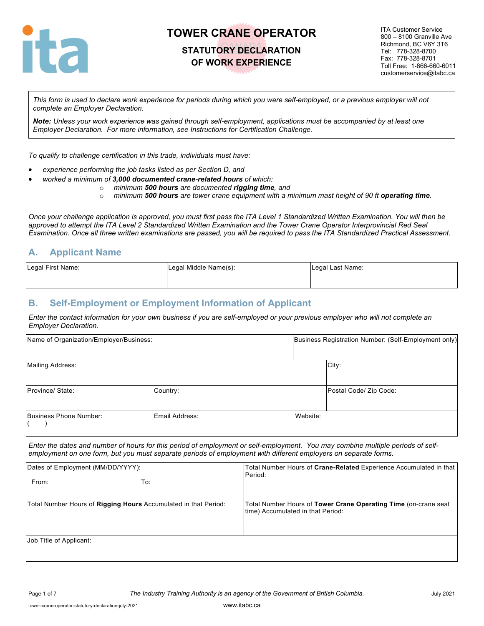

### **STATUTORY DECLARATION OF WORK EXPERIENCE**

ITA Customer Service 800 – 8100 Granville Ave Richmond, BC V6Y 3T6 Tel: 778-328-8700 Fax: 778-328-8701 Toll Free: 1-866-660-6011 customerservice@itabc.ca

*This form is used to declare work experience for periods during which you were self-employed, or a previous employer will not complete an Employer Declaration.* 

*Note: Unless your work experience was gained through self-employment, applications must be accompanied by at least one Employer Declaration. For more information, see Instructions for Certification Challenge.*

*To qualify to challenge certification in this trade, individuals must have:*

- *experience performing the job tasks listed as per Section D, and*
	- *worked a minimum of 3,000 documented crane-related hours of which:*
		- o *minimum 500 hours are documented rigging time, and*
			- o *minimum 500 hours are tower crane equipment with a minimum mast height of 90 ft operating time.*

*Once your challenge application is approved, you must first pass the ITA Level 1 Standardized Written Examination. You will then be approved to attempt the ITA Level 2 Standardized Written Examination and the Tower Crane Operator Interprovincial Red Seal Examination. Once all three written examinations are passed, you will be required to pass the ITA Standardized Practical Assessment.*

### **A. Applicant Name**

| Legal First Name: | Legal Middle Name(s): | Legal Last Name: |
|-------------------|-----------------------|------------------|
|                   |                       |                  |

### **B. Self-Employment or Employment Information of Applicant**

*Enter the contact information for your own business if you are self-employed or your previous employer who will not complete an Employer Declaration.*

| Name of Organization/Employer/Business: |                |          | Business Registration Number: (Self-Employment only) |
|-----------------------------------------|----------------|----------|------------------------------------------------------|
| Mailing Address:                        |                |          | City:                                                |
| Province/State:                         | Country:       |          | Postal Code/ Zip Code:                               |
| Business Phone Number:                  | Email Address: | Website: |                                                      |

*Enter the dates and number of hours for this period of employment or self-employment. You may combine multiple periods of selfemployment on one form, but you must separate periods of employment with different employers on separate forms.*

| Dates of Employment (MM/DD/YYYY):                               | Total Number Hours of Crane-Related Experience Accumulated in that<br>Period:                        |  |
|-----------------------------------------------------------------|------------------------------------------------------------------------------------------------------|--|
| From:<br>To:                                                    |                                                                                                      |  |
| Total Number Hours of Rigging Hours Accumulated in that Period: | Total Number Hours of Tower Crane Operating Time (on-crane seat<br>time) Accumulated in that Period: |  |
| Job Title of Applicant:                                         |                                                                                                      |  |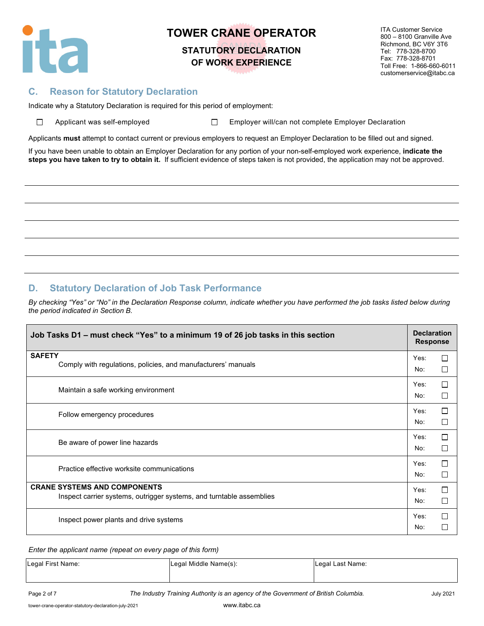

# **STATUTORY DECLARATION OF WORK EXPERIENCE**

ITA Customer Service 800 – 8100 Granville Ave Richmond, BC V6Y 3T6 Tel: 778-328-8700 Fax: 778-328-8701 Toll Free: 1-866-660-6011 customerservice@itabc.ca

### **C. Reason for Statutory Declaration**

Indicate why a Statutory Declaration is required for this period of employment:

| □ | Applicant was self-emplo |  |  |
|---|--------------------------|--|--|

oyed □ Employer will/can not complete Employer Declaration

Applicants **must** attempt to contact current or previous employers to request an Employer Declaration to be filled out and signed.

If you have been unable to obtain an Employer Declaration for any portion of your non-self-employed work experience, **indicate the steps you have taken to try to obtain it.** If sufficient evidence of steps taken is not provided, the application may not be approved.

### **D. Statutory Declaration of Job Task Performance**

*By checking "Yes" or "No" in the Declaration Response column, indicate whether you have performed the job tasks listed below during the period indicated in Section B.*

| Job Tasks D1 - must check "Yes" to a minimum 19 of 26 job tasks in this section                             |             | <b>Declaration</b><br><b>Response</b> |  |
|-------------------------------------------------------------------------------------------------------------|-------------|---------------------------------------|--|
| <b>SAFETY</b><br>Comply with regulations, policies, and manufacturers' manuals                              | Yes:<br>No: | П<br>П                                |  |
| Maintain a safe working environment                                                                         | Yes:<br>No: | П<br>П                                |  |
| Follow emergency procedures                                                                                 | Yes:<br>No: | П<br>П                                |  |
| Be aware of power line hazards                                                                              | Yes:<br>No: | П<br>$\Box$                           |  |
| Practice effective worksite communications                                                                  | Yes:<br>No: | П<br>П                                |  |
| <b>CRANE SYSTEMS AND COMPONENTS</b><br>Inspect carrier systems, outrigger systems, and turntable assemblies | Yes:<br>No: | $\Box$<br>П                           |  |
| Inspect power plants and drive systems                                                                      | Yes:<br>No: | П<br>П                                |  |

#### *Enter the applicant name (repeat on every page of this form)*

| Legal First Name: | Legal Middle Name(s): | Legal Last Name: |
|-------------------|-----------------------|------------------|
|                   |                       |                  |

Page 2 of 7 *The Industry Training Authority is an agency of the Government of British Columbia.* July 2021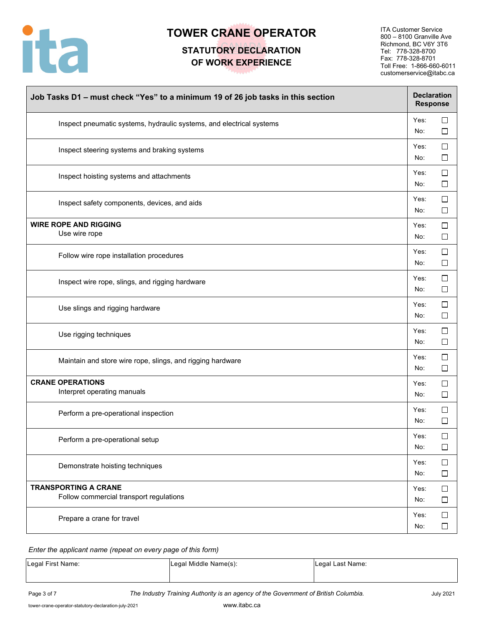

## **STATUTORY DECLARATION OF WORK EXPERIENCE**

ITA Customer Service 800 – 8100 Granville Ave Richmond, BC V6Y 3T6 Tel: 778-328-8700 Fax: 778-328-8701 Toll Free: 1-866-660-6011 customerservice@itabc.ca

| Job Tasks D1 - must check "Yes" to a minimum 19 of 26 job tasks in this section |             | <b>Declaration</b><br><b>Response</b> |  |
|---------------------------------------------------------------------------------|-------------|---------------------------------------|--|
| Inspect pneumatic systems, hydraulic systems, and electrical systems            | Yes:<br>No: | □<br>□                                |  |
| Inspect steering systems and braking systems                                    | Yes:<br>No: | $\Box$<br>□                           |  |
| Inspect hoisting systems and attachments                                        | Yes:<br>No: | $\Box$<br>$\Box$                      |  |
| Inspect safety components, devices, and aids                                    | Yes:<br>No: | $\Box$<br>$\Box$                      |  |
| <b>WIRE ROPE AND RIGGING</b><br>Use wire rope                                   | Yes:<br>No: | $\Box$<br>$\Box$                      |  |
| Follow wire rope installation procedures                                        | Yes:<br>No: | $\Box$<br>$\Box$                      |  |
| Inspect wire rope, slings, and rigging hardware                                 | Yes:<br>No: | $\Box$<br>$\Box$                      |  |
| Use slings and rigging hardware                                                 | Yes:<br>No: | $\Box$<br>$\Box$                      |  |
| Use rigging techniques                                                          | Yes:<br>No: | $\Box$<br>$\Box$                      |  |
| Maintain and store wire rope, slings, and rigging hardware                      | Yes:<br>No: | □<br>$\Box$                           |  |
| <b>CRANE OPERATIONS</b><br>Interpret operating manuals                          | Yes:<br>No: | $\Box$<br>$\Box$                      |  |
| Perform a pre-operational inspection                                            | Yes:<br>No: | $\Box$<br>$\Box$                      |  |
| Perform a pre-operational setup                                                 | Yes:<br>No: | $\Box$<br>$\Box$                      |  |
| Demonstrate hoisting techniques                                                 | Yes:<br>No: | $\Box$<br>$\Box$                      |  |
| <b>TRANSPORTING A CRANE</b><br>Follow commercial transport regulations          | Yes:<br>No: | $\Box$<br>$\Box$                      |  |
| Prepare a crane for travel                                                      | Yes:<br>No: | $\Box$<br>$\Box$                      |  |

#### *Enter the applicant name (repeat on every page of this form)*

| Legal First Name: | Legal Middle Name(s): | Legal Last Name: |
|-------------------|-----------------------|------------------|
|-------------------|-----------------------|------------------|

Page 3 of 7 *The Industry Training Authority is an agency of the Government of British Columbia.* July 2021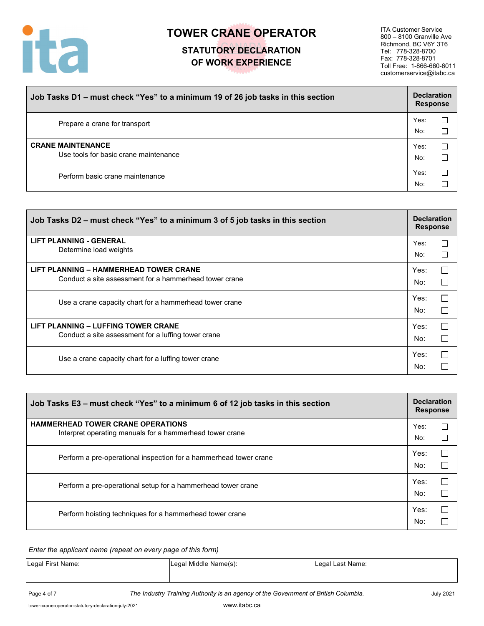

# **STATUTORY DECLARATION OF WORK EXPERIENCE**

ITA Customer Service 800 – 8100 Granville Ave Richmond, BC V6Y 3T6 Tel: 778-328-8700 Fax: 778-328-8701 Toll Free: 1-866-660-6011 customerservice@itabc.ca

| Job Tasks D1 - must check "Yes" to a minimum 19 of 26 job tasks in this section | <b>Declaration</b><br><b>Response</b> |             |
|---------------------------------------------------------------------------------|---------------------------------------|-------------|
| Prepare a crane for transport                                                   | Yes:<br>No:                           | $\Box$<br>г |
| <b>CRANE MAINTENANCE</b><br>Use tools for basic crane maintenance               | Yes:<br>No:                           |             |
| Perform basic crane maintenance                                                 | Yes:<br>No:                           |             |

| Job Tasks D2 – must check "Yes" to a minimum 3 of 5 job tasks in this section |      | <b>Declaration</b><br><b>Response</b> |  |
|-------------------------------------------------------------------------------|------|---------------------------------------|--|
| <b>LIFT PLANNING - GENERAL</b>                                                | Yes: | □                                     |  |
| Determine load weights                                                        | No:  | П                                     |  |
| LIFT PLANNING - HAMMERHEAD TOWER CRANE                                        | Yes: | $\Box$                                |  |
| Conduct a site assessment for a hammerhead tower crane                        | No:  | $\Box$                                |  |
| Use a crane capacity chart for a hammerhead tower crane                       | Yes: | $\Box$                                |  |
|                                                                               | No:  | $\Box$                                |  |
| <b>LIFT PLANNING - LUFFING TOWER CRANE</b>                                    | Yes: | П                                     |  |
| Conduct a site assessment for a luffing tower crane                           | No:  |                                       |  |
| Use a crane capacity chart for a luffing tower crane                          | Yes: | П                                     |  |
|                                                                               | No:  |                                       |  |

| Job Tasks E3 – must check "Yes" to a minimum 6 of 12 job tasks in this section                       |             | <b>Declaration</b><br><b>Response</b> |  |
|------------------------------------------------------------------------------------------------------|-------------|---------------------------------------|--|
| <b>HAMMERHEAD TOWER CRANE OPERATIONS</b><br>Interpret operating manuals for a hammerhead tower crane | Yes:<br>No: | $\Box$                                |  |
| Perform a pre-operational inspection for a hammerhead tower crane                                    | Yes:<br>No: | П                                     |  |
| Perform a pre-operational setup for a hammerhead tower crane                                         | Yes:<br>No: | $\Box$                                |  |
| Perform hoisting techniques for a hammerhead tower crane                                             | Yes:<br>No: | $\Box$                                |  |

*Enter the applicant name (repeat on every page of this form)*

| Legal First Name: | Legal Middle Name(s): | Legal Last Name: |
|-------------------|-----------------------|------------------|
|                   |                       |                  |

Page 4 of 7 **The Industry Training Authority is an agency of the Government of British Columbia.** July 2021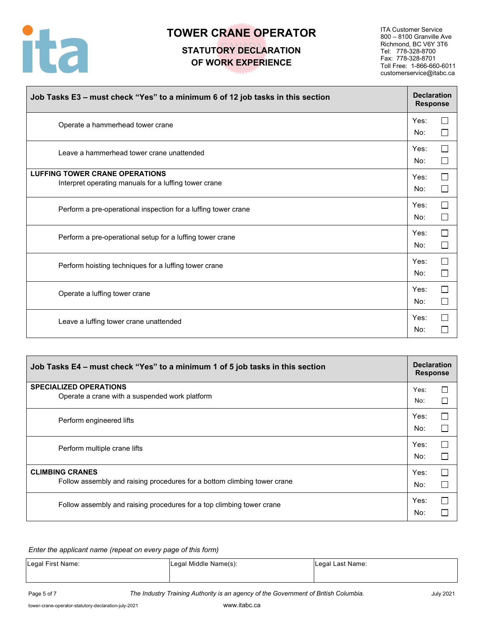

## **STATUTORY DECLARATION OF WORK EXPERIENCE**

ITA Customer Service 800 – 8100 Granville Ave Richmond, BC V6Y 3T6 Tel: 778-328-8700 Fax: 778-328-8701 Toll Free: 1-866-660-6011 customerservice@itabc.ca

| Job Tasks E3 - must check "Yes" to a minimum 6 of 12 job tasks in this section                 |             |   |  |  |  |  |
|------------------------------------------------------------------------------------------------|-------------|---|--|--|--|--|
| Operate a hammerhead tower crane                                                               | Yes:<br>No: |   |  |  |  |  |
| Leave a hammerhead tower crane unattended                                                      | Yes:<br>No: |   |  |  |  |  |
| <b>LUFFING TOWER CRANE OPERATIONS</b><br>Interpret operating manuals for a luffing tower crane | Yes:<br>No: |   |  |  |  |  |
| Perform a pre-operational inspection for a luffing tower crane                                 | Yes:<br>No: | П |  |  |  |  |
| Perform a pre-operational setup for a luffing tower crane                                      | Yes:<br>No: |   |  |  |  |  |
| Perform hoisting techniques for a luffing tower crane                                          | Yes:<br>No: |   |  |  |  |  |
| Operate a luffing tower crane                                                                  | Yes:<br>No: |   |  |  |  |  |
| Leave a luffing tower crane unattended                                                         | Yes:<br>No: |   |  |  |  |  |

| Job Tasks E4 – must check "Yes" to a minimum 1 of 5 job tasks in this section | <b>Declaration</b><br><b>Response</b> |        |  |  |  |  |  |
|-------------------------------------------------------------------------------|---------------------------------------|--------|--|--|--|--|--|
| <b>SPECIALIZED OPERATIONS</b>                                                 |                                       |        |  |  |  |  |  |
| Operate a crane with a suspended work platform                                | No:                                   | $\Box$ |  |  |  |  |  |
| Perform engineered lifts                                                      | Yes:                                  | $\Box$ |  |  |  |  |  |
|                                                                               | No:                                   |        |  |  |  |  |  |
| Perform multiple crane lifts                                                  |                                       |        |  |  |  |  |  |
|                                                                               | No:                                   |        |  |  |  |  |  |
| <b>CLIMBING CRANES</b>                                                        | Yes:                                  | $\Box$ |  |  |  |  |  |
| Follow assembly and raising procedures for a bottom climbing tower crane      | No:                                   |        |  |  |  |  |  |
| Follow assembly and raising procedures for a top climbing tower crane         |                                       |        |  |  |  |  |  |
|                                                                               | No:                                   |        |  |  |  |  |  |

*Enter the applicant name (repeat on every page of this form)*

| Legal First Name: | Legal Middle Name(s): | Legal Last Name: |
|-------------------|-----------------------|------------------|
|                   |                       |                  |

Page 5 of 7 *The Industry Training Authority is an agency of the Government of British Columbia.* July 2021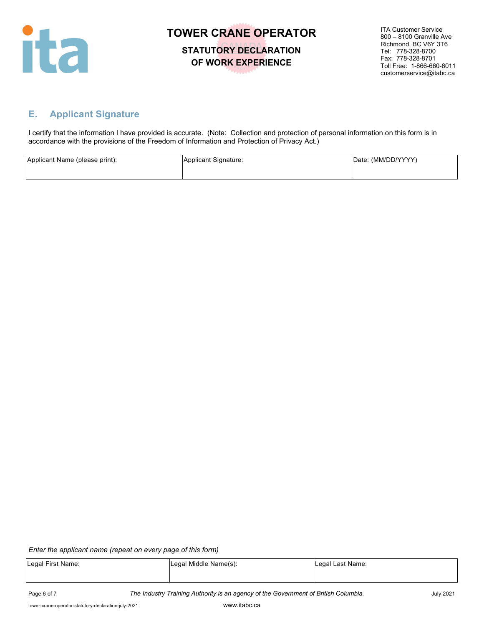

**STATUTORY DECLARATION OF WORK EXPERIENCE**

ITA Customer Service 800 – 8100 Granville Ave Richmond, BC V6Y 3T6 Tel: 778-328-8700 Fax: 778-328-8701 Toll Free: 1-866-660-6011 customerservice@itabc.ca

## **E. Applicant Signature**

I certify that the information I have provided is accurate. (Note: Collection and protection of personal information on this form is in accordance with the provisions of the Freedom of Information and Protection of Privacy Act.)

| Applicant Name (please print): | Applicant Signature: | Date: (MM/DD/YYYY) |
|--------------------------------|----------------------|--------------------|
|                                |                      |                    |

#### *Enter the applicant name (repeat on every page of this form)*

| Legal First Name: | Legal Middle Name(s): | Legal Last Name: |
|-------------------|-----------------------|------------------|
|                   |                       |                  |
|                   |                       |                  |

Page 6 of 7 *The Industry Training Authority is an agency of the Government of British Columbia.* July 2021